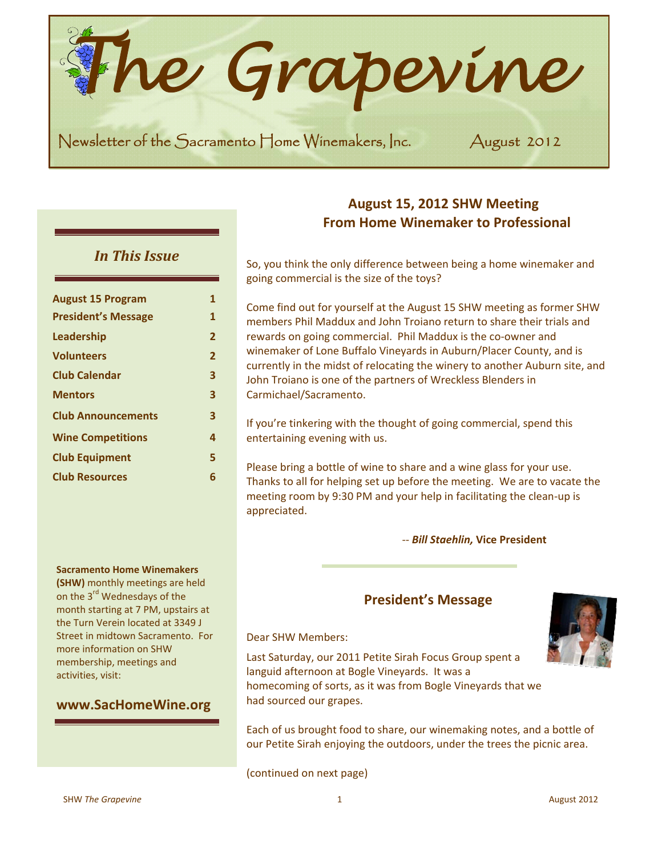*he Grapevine*  **CENT** 

Newsletter of the Sacramento Home Winemakers, Inc. August 2012

# *In This Issue*

| <b>August 15 Program</b>   | 1              |
|----------------------------|----------------|
| <b>President's Message</b> | 1              |
| Leadership                 | $\overline{2}$ |
| <b>Volunteers</b>          | $\overline{2}$ |
| <b>Club Calendar</b>       | 3              |
| <b>Mentors</b>             | 3              |
| <b>Club Announcements</b>  | 3              |
| <b>Wine Competitions</b>   | 4              |
| <b>Club Equipment</b>      | 5              |
| <b>Club Resources</b>      | 6              |
|                            |                |

**Sacramento Home Winemakers (SHW)** monthly meetings are held on the 3<sup>rd</sup> Wednesdays of the month starting at 7 PM, upstairs at the Turn Verein located at 3349 J Street in midtown Sacramento. For

more information on SHW membership, meetings and

**www.SacHomeWine.org**

activities, visit:

# **August 15, 2012 SHW Meeting From Home Winemaker to Professional**

So, you think the only difference between being a home winemaker and going commercial is the size of the toys?

Come find out for yourself at the August 15 SHW meeting as former SHW members Phil Maddux and John Troiano return to share their trials and rewards on going commercial. Phil Maddux is the co‐owner and winemaker of Lone Buffalo Vineyards in Auburn/Placer County, and is currently in the midst of relocating the winery to another Auburn site, and John Troiano is one of the partners of Wreckless Blenders in Carmichael/Sacramento.

If you're tinkering with the thought of going commercial, spend this entertaining evening with us.

Please bring a bottle of wine to share and a wine glass for your use. Thanks to all for helping set up before the meeting. We are to vacate the meeting room by 9:30 PM and your help in facilitating the clean‐up is appreciated.

‐‐ *Bill Staehlin,* **Vice President**

## **President's Message**

Dear SHW Members:

Last Saturday, our 2011 Petite Sirah Focus Group spent a languid afternoon at Bogle Vineyards. It was a homecoming of sorts, as it was from Bogle Vineyards that we had sourced our grapes.

Each of us brought food to share, our winemaking notes, and a bottle of our Petite Sirah enjoying the outdoors, under the trees the picnic area.

(continued on next page)



 $\mathbf{r} = \mathbf{r} \cdot \mathbf{r}$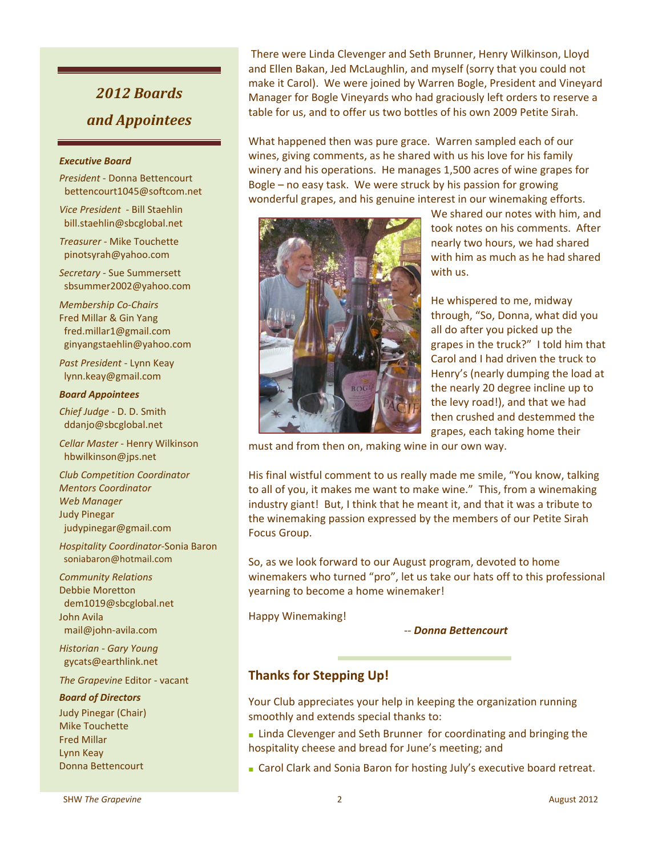# *2012 Boards and Appointees*

#### *Executive Board*

- *President* ‐ Donna Bettencourt bettencourt1045@softcom.net
- *Vice President* ‐ Bill Staehlin bill.staehlin@sbcglobal.net
- *Treasurer* ‐ Mike Touchette pinotsyrah@yahoo.com
- *Secretary* ‐ Sue Summersett sbsummer2002@yahoo.com

*Membership Co*‐*Chairs* Fred Millar & Gin Yang fred.millar1@gmail.com ginyangstaehlin@yahoo.com

*Past President* ‐ Lynn Keay lynn.keay@gmail.com

#### *Board Appointees*

*Chief Judge* ‐ D. D. Smith ddanjo@sbcglobal.net

*Cellar Master* ‐ Henry Wilkinson hbwilkinson@jps.net

*Club Competition Coordinator Mentors Coordinator Web Manager*  Judy Pinegar judypinegar@gmail.com

*Hospitality Coordinator*‐Sonia Baron soniabaron@hotmail.com

*Community Relations* Debbie Moretton dem1019@sbcglobal.net John Avila mail@john‐avila.com

*Historian ‐ Gary Young* gycats@earthlink.net

*The Grapevine* Editor ‐ vacant

#### *Board of Directors*

Judy Pinegar (Chair) Mike Touchette Fred Millar Lynn Keay Donna Bettencourt

There were Linda Clevenger and Seth Brunner, Henry Wilkinson, Lloyd and Ellen Bakan, Jed McLaughlin, and myself (sorry that you could not make it Carol). We were joined by Warren Bogle, President and Vineyard Manager for Bogle Vineyards who had graciously left orders to reserve a table for us, and to offer us two bottles of his own 2009 Petite Sirah.

What happened then was pure grace. Warren sampled each of our wines, giving comments, as he shared with us his love for his family winery and his operations. He manages 1,500 acres of wine grapes for Bogle – no easy task. We were struck by his passion for growing wonderful grapes, and his genuine interest in our winemaking efforts.



We shared our notes with him, and took notes on his comments. After nearly two hours, we had shared with him as much as he had shared with us.

He whispered to me, midway through, "So, Donna, what did you all do after you picked up the grapes in the truck?" I told him that Carol and I had driven the truck to Henry's (nearly dumping the load at the nearly 20 degree incline up to the levy road!), and that we had then crushed and destemmed the grapes, each taking home their

must and from then on, making wine in our own way.

His final wistful comment to us really made me smile, "You know, talking to all of you, it makes me want to make wine." This, from a winemaking industry giant! But, I think that he meant it, and that it was a tribute to the winemaking passion expressed by the members of our Petite Sirah Focus Group.

So, as we look forward to our August program, devoted to home winemakers who turned "pro", let us take our hats off to this professional yearning to become a home winemaker!

Happy Winemaking!

‐‐ *Donna Bettencourt*

### **Thanks for Stepping Up!**

Your Club appreciates your help in keeping the organization running smoothly and extends special thanks to:

**■** Linda Clevenger and Seth Brunner for coordinating and bringing the hospitality cheese and bread for June's meeting; and

**■** Carol Clark and Sonia Baron for hosting July's executive board retreat.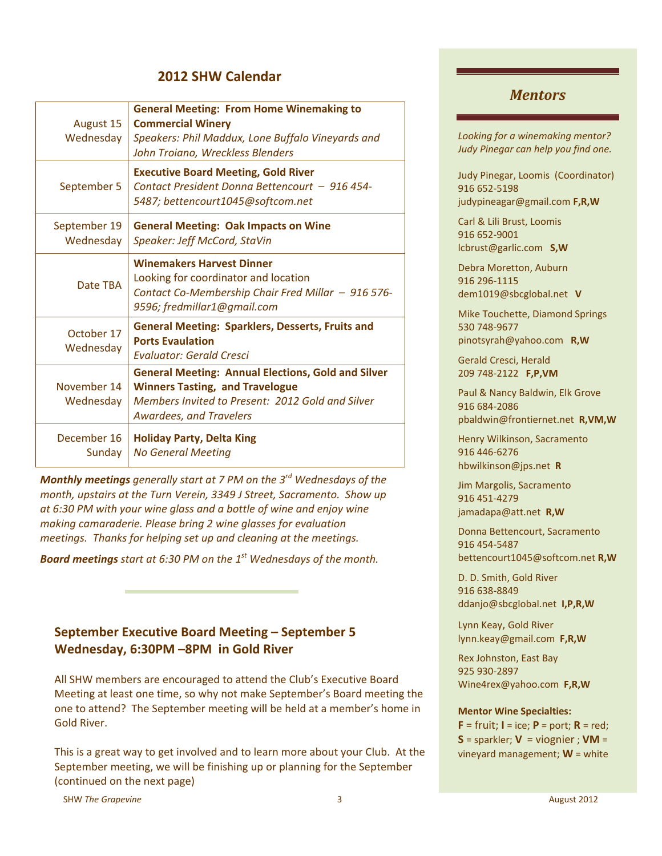# **2012 SHW Calendar**

| August 15<br>Wednesday    | <b>General Meeting: From Home Winemaking to</b><br><b>Commercial Winery</b><br>Speakers: Phil Maddux, Lone Buffalo Vineyards and<br>John Troiano, Wreckless Blenders                      |
|---------------------------|-------------------------------------------------------------------------------------------------------------------------------------------------------------------------------------------|
| September 5               | <b>Executive Board Meeting, Gold River</b><br>Contact President Donna Bettencourt - 916 454-<br>5487; bettencourt1045@softcom.net                                                         |
| September 19<br>Wednesday | <b>General Meeting: Oak Impacts on Wine</b><br>Speaker: Jeff McCord, StaVin                                                                                                               |
| Date TBA                  | <b>Winemakers Harvest Dinner</b><br>Looking for coordinator and location<br>Contact Co-Membership Chair Fred Millar - 916 576-<br>9596; fredmillar1@gmail.com                             |
| October 17<br>Wednesday   | <b>General Meeting: Sparklers, Desserts, Fruits and</b><br><b>Ports Evaulation</b><br>Evaluator: Gerald Cresci                                                                            |
| November 14<br>Wednesday  | <b>General Meeting: Annual Elections, Gold and Silver</b><br><b>Winners Tasting, and Travelogue</b><br>Members Invited to Present: 2012 Gold and Silver<br><b>Awardees, and Travelers</b> |
| December 16<br>Sunday     | <b>Holiday Party, Delta King</b><br><b>No General Meeting</b>                                                                                                                             |

*Monthly meetings generally start at 7 PM on the 3rd Wednesdays of the month, upstairs at the Turn Verein, 3349 J Street, Sacramento. Show up at 6:30 PM with your wine glass and a bottle of wine and enjoy wine making camaraderie. Please bring 2 wine glasses for evaluation meetings. Thanks for helping set up and cleaning at the meetings.*

*Board meetings start at 6:30 PM on the 1st Wednesdays of the month.*

# **September Executive Board Meeting – September 5 Wednesday, 6:30PM –8PM in Gold River**

All SHW members are encouraged to attend the Club's Executive Board Meeting at least one time, so why not make September's Board meeting the one to attend? The September meeting will be held at a member's home in Gold River.

This is a great way to get involved and to learn more about your Club. At the September meeting, we will be finishing up or planning for the September (continued on the next page)

#### *Mentors*

*Looking for a winemaking mentor? Judy Pinegar can help you find one.*

Judy Pinegar, Loomis (Coordinator) 916 652‐5198 judypineagar@gmail.com **F,R,W**

Carl & Lili Brust, Loomis 916 652‐9001 lcbrust@garlic.com **S,W**

Debra Moretton, Auburn 916 296‐1115 dem1019@sbcglobal.net **V**

Mike Touchette, Diamond Springs 530 748‐9677 pinotsyrah@yahoo.com **R,W**

Gerald Cresci, Herald 209 748‐2122 **F,P,VM**

Paul & Nancy Baldwin, Elk Grove 916 684‐2086 pbaldwin@frontiernet.net **R,VM,W**

Henry Wilkinson, Sacramento 916 446‐6276 hbwilkinson@jps.net **R**

Jim Margolis, Sacramento 916 451‐4279 jamadapa@att.net **R,W**

Donna Bettencourt, Sacramento 916 454‐5487 bettencourt1045@softcom.net **R,W**

D. D. Smith, Gold River 916 638‐8849 ddanjo@sbcglobal.net **I,P,R,W**

Lynn Keay, Gold River lynn.keay@gmail.com **F,R,W**

Rex Johnston, East Bay 925 930‐2897 Wine4rex@yahoo.com **F,R,W**

#### **Mentor Wine Specialties:**

 $F = fruit$ ;  $I = ice$ ;  $P = port$ ;  $R = red$ ;  $S =$  sparkler;  $V =$  viognier;  $VM =$ vineyard management; **W** = white

SHW The Grapevine and Security 2012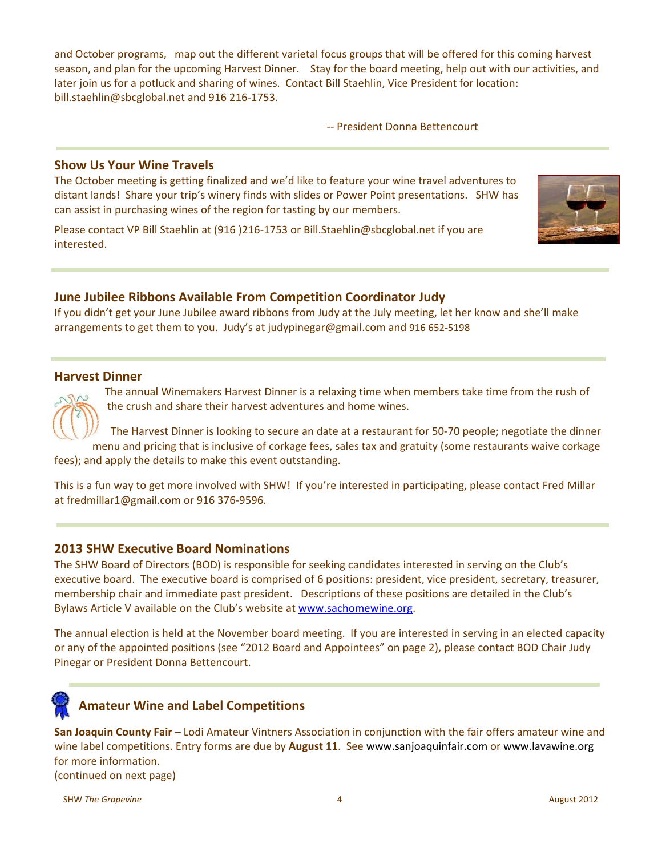and October programs, map out the different varietal focus groups that will be offered for this coming harvest season, and plan for the upcoming Harvest Dinner. Stay for the board meeting, help out with our activities, and later join us for a potluck and sharing of wines. Contact Bill Staehlin, Vice President for location: bill.staehlin@sbcglobal.net and 916 216‐1753.

‐‐ President Donna Bettencourt

#### **Show Us Your Wine Travels**

The October meeting is getting finalized and we'd like to feature your wine travel adventures to distant lands! Share your trip's winery finds with slides or Power Point presentations. SHW has can assist in purchasing wines of the region for tasting by our members.

Please contact VP Bill Staehlin at (916 )216‐1753 or Bill.Staehlin@sbcglobal.net if you are interested.



#### **June Jubilee Ribbons Available From Competition Coordinator Judy**

If you didn't get your June Jubilee award ribbons from Judy at the July meeting, let her know and she'll make arrangements to get them to you. Judy's at judypinegar@gmail.com and 916 652‐5198

#### **Harvest Dinner**

The annual Winemakers Harvest Dinner is a relaxing time when members take time from the rush of the crush and share their harvest adventures and home wines.

The Harvest Dinner is looking to secure an date at a restaurant for 50‐70 people; negotiate the dinner menu and pricing that is inclusive of corkage fees, sales tax and gratuity (some restaurants waive corkage fees); and apply the details to make this event outstanding.

This is a fun way to get more involved with SHW! If you're interested in participating, please contact Fred Millar at fredmillar1@gmail.com or 916 376‐9596.

#### **2013 SHW Executive Board Nominations**

The SHW Board of Directors (BOD) is responsible for seeking candidates interested in serving on the Club's executive board. The executive board is comprised of 6 positions: president, vice president, secretary, treasurer, membership chair and immediate past president. Descriptions of these positions are detailed in the Club's Bylaws Article V available on the Club's website at www.sachomewine.org.

The annual election is held at the November board meeting. If you are interested in serving in an elected capacity or any of the appointed positions (see "2012 Board and Appointees" on page 2), please contact BOD Chair Judy Pinegar or President Donna Bettencourt.



# **Amateur Wine and Label Competitions**

**San Joaquin County Fair** – Lodi Amateur Vintners Association in conjunction with the fair offers amateur wine and wine label competitions. Entry forms are due by **August 11**. See www.sanjoaquinfair.com or www.lavawine.org for more information.

(continued on next page)

SHW The Grapevine and Security 2012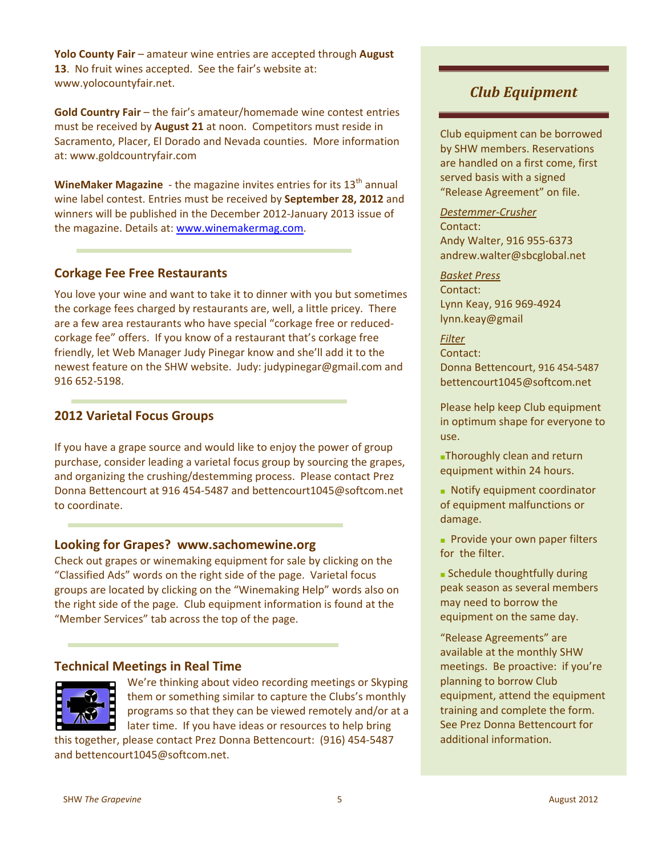**Yolo County Fair** – amateur wine entries are accepted through **August 13**. No fruit wines accepted. See the fair's website at: www.yolocountyfair.net.

**Gold Country Fair** – the fair's amateur/homemade wine contest entries must be received by **August 21** at noon. Competitors must reside in Sacramento, Placer, El Dorado and Nevada counties. More information at: www.goldcountryfair.com

**WineMaker Magazine** - the magazine invites entries for its 13<sup>th</sup> annual wine label contest. Entries must be received by **September 28, 2012** and winners will be published in the December 2012‐January 2013 issue of the magazine. Details at: www.winemakermag.com.

#### **Corkage Fee Free Restaurants**

You love your wine and want to take it to dinner with you but sometimes the corkage fees charged by restaurants are, well, a little pricey. There are a few area restaurants who have special "corkage free or reduced‐ corkage fee" offers. If you know of a restaurant that's corkage free friendly, let Web Manager Judy Pinegar know and she'll add it to the newest feature on the SHW website. Judy: judypinegar@gmail.com and 916 652‐5198.

#### **2012 Varietal Focus Groups**

If you have a grape source and would like to enjoy the power of group purchase, consider leading a varietal focus group by sourcing the grapes, and organizing the crushing/destemming process. Please contact Prez Donna Bettencourt at 916 454-5487 and bettencourt1045@softcom.net to coordinate.

#### **Looking for Grapes? www.sachomewine.org**

Check out grapes or winemaking equipment for sale by clicking on the "Classified Ads" words on the right side of the page. Varietal focus groups are located by clicking on the "Winemaking Help" words also on the right side of the page. Club equipment information is found at the "Member Services" tab across the top of the page.

#### **Technical Meetings in Real Time**



We're thinking about video recording meetings or Skyping them or something similar to capture the Clubs's monthly programs so that they can be viewed remotely and/or at a later time. If you have ideas or resources to help bring

this together, please contact Prez Donna Bettencourt: (916) 454‐5487 and bettencourt1045@softcom.net.

# *Club Equipment*

Club equipment can be borrowed by SHW members. Reservations are handled on a first come, first served basis with a signed "Release Agreement" on file.

*Destemmer‐Crusher* Contact: Andy Walter, 916 955‐6373 andrew.walter@sbcglobal.net

#### *Basket Press*

Contact: Lynn Keay, 916 969‐4924 lynn.keay@gmail

*Filter* Contact: Donna Bettencourt, 916 454‐5487 bettencourt1045@softcom.net

Please help keep Club equipment in optimum shape for everyone to use.

**■**Thoroughly clean and return equipment within 24 hours.

**■** Notify equipment coordinator of equipment malfunctions or damage.

**■** Provide your own paper filters for the filter.

**■** Schedule thoughtfully during peak season as several members may need to borrow the equipment on the same day.

"Release Agreements" are available at the monthly SHW meetings. Be proactive: if you're planning to borrow Club equipment, attend the equipment training and complete the form. See Prez Donna Bettencourt for additional information.